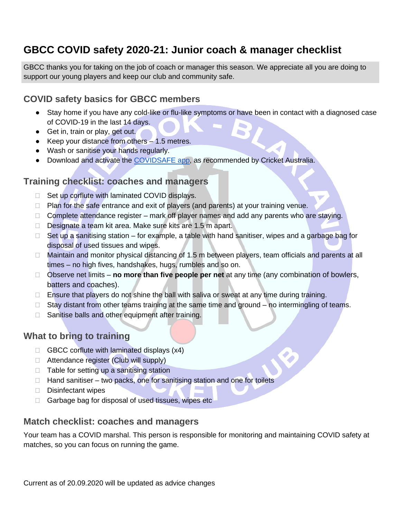# **GBCC COVID safety 2020-21: Junior coach & manager checklist**

GBCC thanks you for taking on the job of coach or manager this season. We appreciate all you are doing to support our young players and keep our club and community safe.

### **COVID safety basics for GBCC members**

- Stay home if you have any cold-like or flu-like symptoms or have been in contact with a diagnosed case of COVID-19 in the last 14 days.
- Get in, train or play, get out.
- Keep your distance from others 1.5 metres.
- Wash or sanitise your hands regularly.
- Download and activate the [COVIDSAFE app,](https://www.health.gov.au/resources/apps-and-tools/covidsafe-app) as recommended by Cricket Australia.

### **Training checklist: coaches and managers**

- $\Box$  Set up corflute with laminated COVID displays.
- $\Box$  Plan for the safe entrance and exit of players (and parents) at your training venue.
- $\Box$  Complete attendance register mark off player names and add any parents who are staying.
- Designate a team kit area. Make sure kits are 1.5 m apart.
- $\Box$  Set up a sanitising station for example, a table with hand sanitiser, wipes and a garbage bag for disposal of used tissues and wipes.
- □ Maintain and monitor physical distancing of 1.5 m between players, team officials and parents at all times – no high fives, handshakes, hugs, rumbles and so on.
- Observe net limits **no more than five people per net** at any time (any combination of bowlers, batters and coaches).
- $\Box$  Ensure that players do not shine the ball with saliva or sweat at any time during training.
- $\Box$  Stay distant from other teams training at the same time and ground no intermingling of teams.
- $\Box$  Sanitise balls and other equipment after training.

### **What to bring to training**

- $\Box$  GBCC corflute with laminated displays (x4)
- □ Attendance register (Club will supply)
- $\Box$  Table for setting up a sanitising station
- $\Box$  Hand sanitiser two packs, one for sanitising station and one for toilets
- $\Box$  Disinfectant wipes
- □ Garbage bag for disposal of used tissues, wipes etc

#### **Match checklist: coaches and managers**

Your team has a COVID marshal. This person is responsible for monitoring and maintaining COVID safety at matches, so you can focus on running the game.